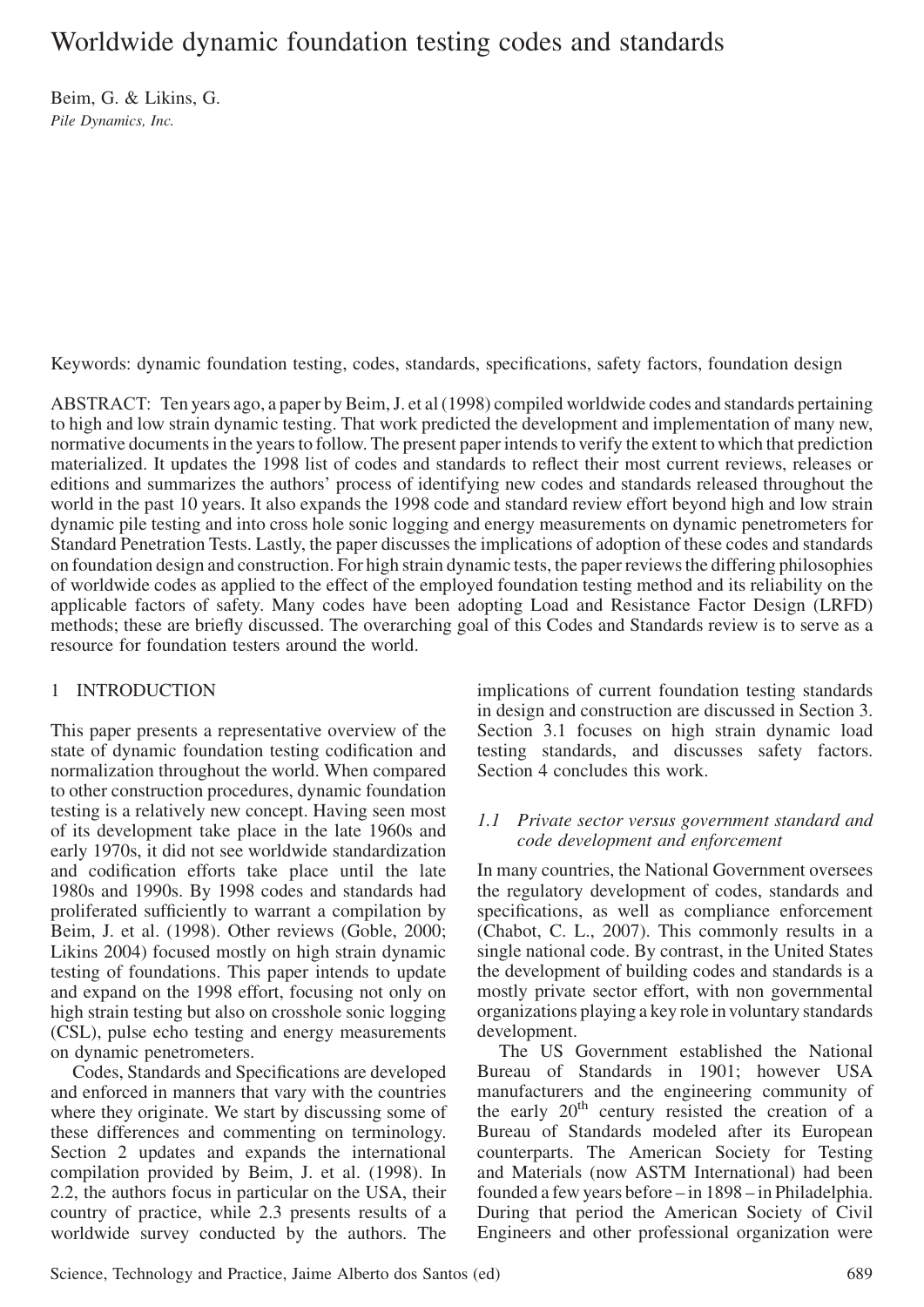# Worldwide dynamic foundation testing codes and standards

Beim, G. & Likins, G. Pile Dynamics, Inc.

Keywords: dynamic foundation testing, codes, standards, specifications, safety factors, foundation design

ABSTRACT: Ten years ago, a paper by Beim, J. et al (1998) compiled worldwide codes and standards pertaining to high and low strain dynamic testing. That work predicted the development and implementation of many new, normative documents in the years to follow. The present paper intends to verify the extent to which that prediction materialized. It updates the 1998 list of codes and standards to reflect their most current reviews, releases or editions and summarizes the authors' process of identifying new codes and standards released throughout the world in the past 10 years. It also expands the 1998 code and standard review effort beyond high and low strain dynamic pile testing and into cross hole sonic logging and energy measurements on dynamic penetrometers for Standard Penetration Tests. Lastly, the paper discusses the implications of adoption of these codes and standards on foundation design and construction. For high strain dynamic tests, the paper reviews the differing philosophies of worldwide codes as applied to the effect of the employed foundation testing method and its reliability on the applicable factors of safety. Many codes have been adopting Load and Resistance Factor Design (LRFD) methods; these are briefly discussed. The overarching goal of this Codes and Standards review is to serve as a resource for foundation testers around the world.

# 1 INTRODUCTION

This paper presents a representative overview of the state of dynamic foundation testing codification and normalization throughout the world. When compared to other construction procedures, dynamic foundation testing is a relatively new concept. Having seen most of its development take place in the late 1960s and early 1970s, it did not see worldwide standardization and codification efforts take place until the late 1980s and 1990s. By 1998 codes and standards had proliferated sufficiently to warrant a compilation by Beim, J. et al. (1998). Other reviews (Goble, 2000; Likins 2004) focused mostly on high strain dynamic testing of foundations. This paper intends to update and expand on the 1998 effort, focusing not only on high strain testing but also on crosshole sonic logging (CSL), pulse echo testing and energy measurements on dynamic penetrometers.

Codes, Standards and Specifications are developed and enforced in manners that vary with the countries where they originate. We start by discussing some of these differences and commenting on terminology. Section 2 updates and expands the international compilation provided by Beim, J. et al. (1998). In 2.2, the authors focus in particular on the USA, their country of practice, while 2.3 presents results of a worldwide survey conducted by the authors. The

implications of current foundation testing standards in design and construction are discussed in Section 3. Section 3.1 focuses on high strain dynamic load testing standards, and discusses safety factors. Section 4 concludes this work.

### 1.1 Private sector versus government standard and code development and enforcement

In many countries, the National Government oversees the regulatory development of codes, standards and specifications, as well as compliance enforcement (Chabot, C. L., 2007). This commonly results in a single national code. By contrast, in the United States the development of building codes and standards is a mostly private sector effort, with non governmental organizations playing a key role in voluntary standards development.

The US Government established the National Bureau of Standards in 1901; however USA manufacturers and the engineering community of the early  $20<sup>th</sup>$  century resisted the creation of a Bureau of Standards modeled after its European counterparts. The American Society for Testing and Materials (now ASTM International) had been founded a few years before – in 1898 – in Philadelphia. During that period the American Society of Civil Engineers and other professional organization were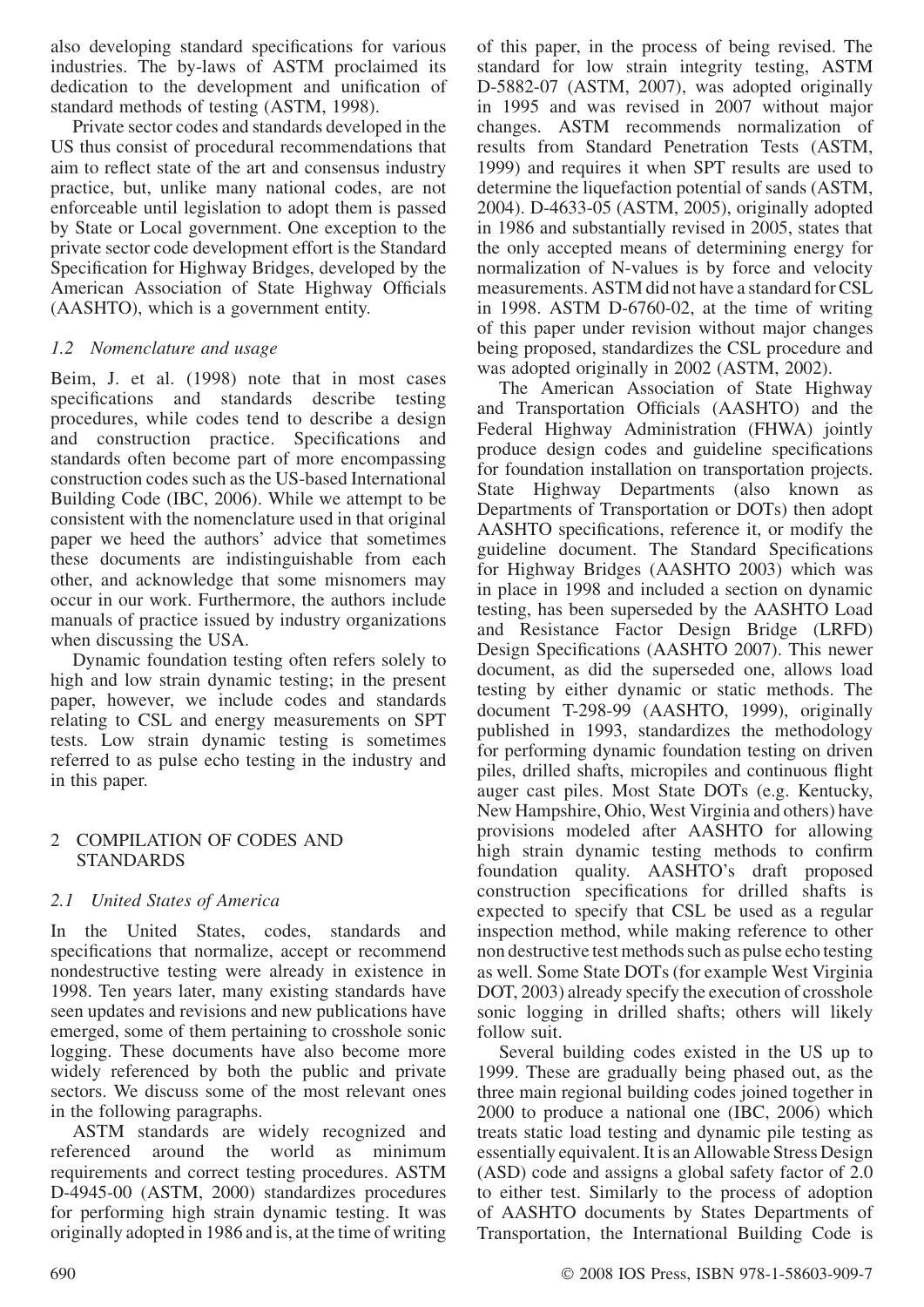also developing standard specifications for various industries. The by-laws of ASTM proclaimed its dedication to the development and unification of standard methods of testing (ASTM, 1998).

Private sector codes and standards developed in the US thus consist of procedural recommendations that aim to reflect state of the art and consensus industry practice, but, unlike many national codes, are not enforceable until legislation to adopt them is passed by State or Local government. One exception to the private sector code development effort is the Standard Specification for Highway Bridges, developed by the American Association of State Highway Officials (AASHTO), which is a government entity.

# 1.2 Nomenclature and usage

Beim, J. et al. (1998) note that in most cases specifications and standards describe testing procedures, while codes tend to describe a design and construction practice. Specifications and standards often become part of more encompassing construction codes such as the US-based International Building Code (IBC, 2006). While we attempt to be consistent with the nomenclature used in that original paper we heed the authors' advice that sometimes these documents are indistinguishable from each other, and acknowledge that some misnomers may occur in our work. Furthermore, the authors include manuals of practice issued by industry organizations when discussing the USA.

Dynamic foundation testing often refers solely to high and low strain dynamic testing; in the present paper, however, we include codes and standards relating to CSL and energy measurements on SPT tests. Low strain dynamic testing is sometimes referred to as pulse echo testing in the industry and in this paper.

# 2 COMPILATION OF CODES AND STANDARDS

# 2.1 United States of America

In the United States, codes, standards and specifications that normalize, accept or recommend nondestructive testing were already in existence in 1998. Ten years later, many existing standards have seen updates and revisions and new publications have emerged, some of them pertaining to crosshole sonic logging. These documents have also become more widely referenced by both the public and private sectors. We discuss some of the most relevant ones in the following paragraphs.

ASTM standards are widely recognized and referenced around the world as minimum requirements and correct testing procedures. ASTM D-4945-00 (ASTM, 2000) standardizes procedures for performing high strain dynamic testing. It was originally adopted in 1986 and is, at the time of writing of this paper, in the process of being revised. The standard for low strain integrity testing, ASTM D-5882-07 (ASTM, 2007), was adopted originally in 1995 and was revised in 2007 without major changes. ASTM recommends normalization of results from Standard Penetration Tests (ASTM, 1999) and requires it when SPT results are used to determine the liquefaction potential of sands (ASTM, 2004). D-4633-05 (ASTM, 2005), originally adopted in 1986 and substantially revised in 2005, states that the only accepted means of determining energy for normalization of N-values is by force and velocity measurements. ASTM did not have a standard for CSL in 1998. ASTM D-6760-02, at the time of writing of this paper under revision without major changes being proposed, standardizes the CSL procedure and was adopted originally in 2002 (ASTM, 2002).

The American Association of State Highway and Transportation Officials (AASHTO) and the Federal Highway Administration (FHWA) jointly produce design codes and guideline specifications for foundation installation on transportation projects. State Highway Departments (also known as Departments of Transportation or DOTs) then adopt AASHTO specifications, reference it, or modify the guideline document. The Standard Specifications for Highway Bridges (AASHTO 2003) which was in place in 1998 and included a section on dynamic testing, has been superseded by the AASHTO Load and Resistance Factor Design Bridge (LRFD) Design Specifications (AASHTO 2007). This newer document, as did the superseded one, allows load testing by either dynamic or static methods. The document T-298-99 (AASHTO, 1999), originally published in 1993, standardizes the methodology for performing dynamic foundation testing on driven piles, drilled shafts, micropiles and continuous flight auger cast piles. Most State DOTs (e.g. Kentucky, New Hampshire, Ohio, West Virginia and others) have provisions modeled after AASHTO for allowing high strain dynamic testing methods to confirm foundation quality. AASHTO's draft proposed construction specifications for drilled shafts is expected to specify that CSL be used as a regular inspection method, while making reference to other non destructive test methods such as pulse echo testing as well. Some State DOTs (for example West Virginia DOT, 2003) already specify the execution of crosshole sonic logging in drilled shafts; others will likely follow suit.

Several building codes existed in the US up to 1999. These are gradually being phased out, as the three main regional building codes joined together in 2000 to produce a national one (IBC, 2006) which treats static load testing and dynamic pile testing as essentially equivalent. It is an Allowable Stress Design (ASD) code and assigns a global safety factor of 2.0 to either test. Similarly to the process of adoption of AASHTO documents by States Departments of Transportation, the International Building Code is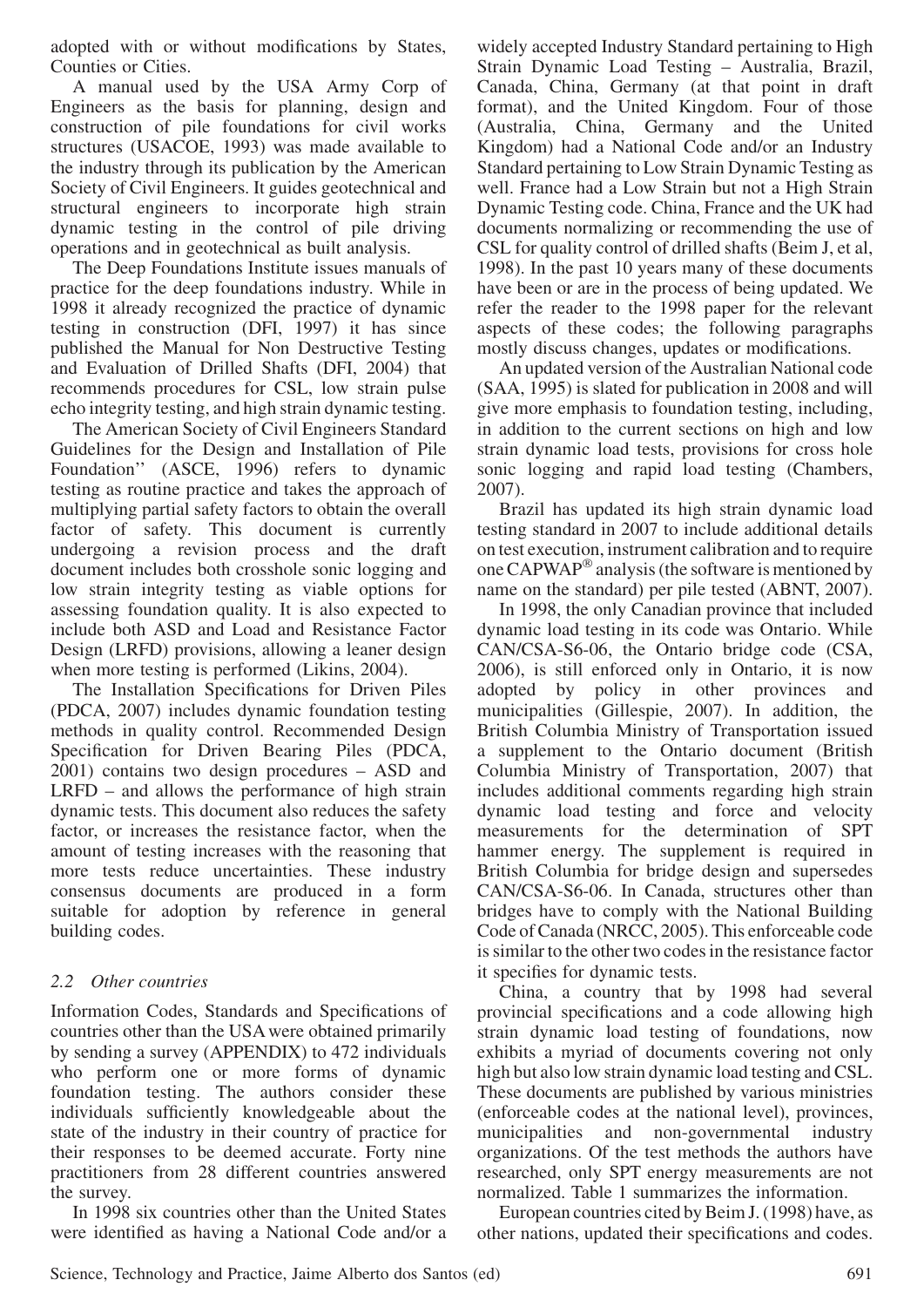adopted with or without modifications by States, Counties or Cities.

A manual used by the USA Army Corp of Engineers as the basis for planning, design and construction of pile foundations for civil works structures (USACOE, 1993) was made available to the industry through its publication by the American Society of Civil Engineers. It guides geotechnical and structural engineers to incorporate high strain dynamic testing in the control of pile driving operations and in geotechnical as built analysis.

The Deep Foundations Institute issues manuals of practice for the deep foundations industry. While in 1998 it already recognized the practice of dynamic testing in construction (DFI, 1997) it has since published the Manual for Non Destructive Testing and Evaluation of Drilled Shafts (DFI, 2004) that recommends procedures for CSL, low strain pulse echo integrity testing, and high strain dynamic testing.

The American Society of Civil Engineers Standard Guidelines for the Design and Installation of Pile Foundation'' (ASCE, 1996) refers to dynamic testing as routine practice and takes the approach of multiplying partial safety factors to obtain the overall factor of safety. This document is currently undergoing a revision process and the draft document includes both crosshole sonic logging and low strain integrity testing as viable options for assessing foundation quality. It is also expected to include both ASD and Load and Resistance Factor Design (LRFD) provisions, allowing a leaner design when more testing is performed (Likins, 2004).

The Installation Specifications for Driven Piles (PDCA, 2007) includes dynamic foundation testing methods in quality control. Recommended Design Specification for Driven Bearing Piles (PDCA, 2001) contains two design procedures – ASD and LRFD – and allows the performance of high strain dynamic tests. This document also reduces the safety factor, or increases the resistance factor, when the amount of testing increases with the reasoning that more tests reduce uncertainties. These industry consensus documents are produced in a form suitable for adoption by reference in general building codes.

# 2.2 Other countries

Information Codes, Standards and Specifications of countries other than the USA were obtained primarily by sending a survey (APPENDIX) to 472 individuals who perform one or more forms of dynamic foundation testing. The authors consider these individuals sufficiently knowledgeable about the state of the industry in their country of practice for their responses to be deemed accurate. Forty nine practitioners from 28 different countries answered the survey.

In 1998 six countries other than the United States were identified as having a National Code and/or a widely accepted Industry Standard pertaining to High Strain Dynamic Load Testing – Australia, Brazil, Canada, China, Germany (at that point in draft format), and the United Kingdom. Four of those (Australia, China, Germany and the United Kingdom) had a National Code and/or an Industry Standard pertaining to Low Strain Dynamic Testing as well. France had a Low Strain but not a High Strain Dynamic Testing code. China, France and the UK had documents normalizing or recommending the use of CSL for quality control of drilled shafts (Beim J, et al, 1998). In the past 10 years many of these documents have been or are in the process of being updated. We refer the reader to the 1998 paper for the relevant aspects of these codes; the following paragraphs mostly discuss changes, updates or modifications.

An updated version of the Australian National code (SAA, 1995) is slated for publication in 2008 and will give more emphasis to foundation testing, including, in addition to the current sections on high and low strain dynamic load tests, provisions for cross hole sonic logging and rapid load testing (Chambers, 2007).

Brazil has updated its high strain dynamic load testing standard in 2007 to include additional details on test execution, instrument calibration and to require one CAPWAP<sup>®</sup> analysis (the software is mentioned by name on the standard) per pile tested (ABNT, 2007).

In 1998, the only Canadian province that included dynamic load testing in its code was Ontario. While CAN/CSA-S6-06, the Ontario bridge code (CSA, 2006), is still enforced only in Ontario, it is now adopted by policy in other provinces and municipalities (Gillespie, 2007). In addition, the British Columbia Ministry of Transportation issued a supplement to the Ontario document (British Columbia Ministry of Transportation, 2007) that includes additional comments regarding high strain dynamic load testing and force and velocity measurements for the determination of SPT hammer energy. The supplement is required in British Columbia for bridge design and supersedes CAN/CSA-S6-06. In Canada, structures other than bridges have to comply with the National Building Code of Canada (NRCC, 2005). This enforceable code is similar to the other two codes in the resistance factor it specifies for dynamic tests.

China, a country that by 1998 had several provincial specifications and a code allowing high strain dynamic load testing of foundations, now exhibits a myriad of documents covering not only high but also low strain dynamic load testing and CSL. These documents are published by various ministries (enforceable codes at the national level), provinces, municipalities and non-governmental industry organizations. Of the test methods the authors have researched, only SPT energy measurements are not normalized. Table 1 summarizes the information.

European countries cited by Beim J. (1998) have, as other nations, updated their specifications and codes.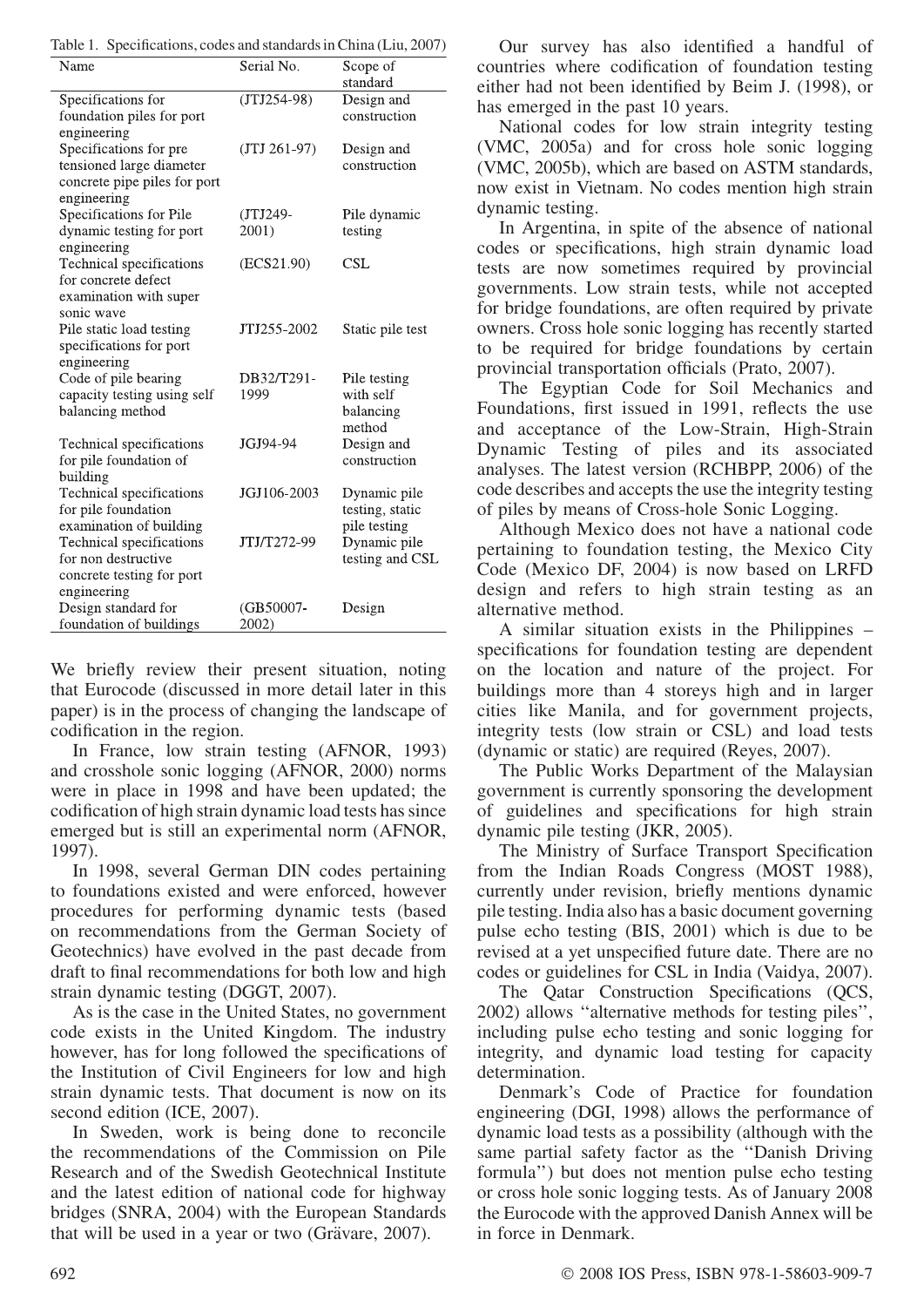Table 1. Specifications, codes and standards in China (Liu, 2007)

| Name                         | Serial No.    | Scope of         |
|------------------------------|---------------|------------------|
|                              |               | standard         |
| Specifications for           | $(TJ1254-98)$ | Design and       |
| foundation piles for port    |               | construction     |
| engineering                  |               |                  |
| Specifications for pre       | $(TJ 261-97)$ | Design and       |
| tensioned large diameter     |               | construction     |
| concrete pipe piles for port |               |                  |
| engineering                  |               |                  |
| Specifications for Pile      | (JTJ249-      | Pile dynamic     |
| dynamic testing for port     | 2001)         | testing          |
| engineering                  |               |                  |
| Technical specifications     | (ECS21.90)    | <b>CSL</b>       |
| for concrete defect          |               |                  |
| examination with super       |               |                  |
| sonic wave                   |               |                  |
| Pile static load testing     | JTJ255-2002   | Static pile test |
| specifications for port      |               |                  |
| engineering                  |               |                  |
| Code of pile bearing         | DB32/T291-    | Pile testing     |
| capacity testing using self  | 1999          | with self        |
| balancing method             |               | balancing        |
|                              |               | method           |
| Technical specifications     | JGJ94-94      | Design and       |
| for pile foundation of       |               | construction     |
| building                     |               |                  |
| Technical specifications     | JGJ106-2003   | Dynamic pile     |
| for pile foundation          |               | testing, static  |
| examination of building      |               | pile testing     |
| Technical specifications     | JTJ/T272-99   | Dynamic pile     |
| for non destructive          |               | testing and CSL  |
| concrete testing for port    |               |                  |
| engineering                  |               |                  |
| Design standard for          | (GB50007-     | Design           |
| foundation of buildings      | 2002)         |                  |
|                              |               |                  |

We briefly review their present situation, noting that Eurocode (discussed in more detail later in this paper) is in the process of changing the landscape of codification in the region.

In France, low strain testing (AFNOR, 1993) and crosshole sonic logging (AFNOR, 2000) norms were in place in 1998 and have been updated; the codification of high strain dynamic load tests has since emerged but is still an experimental norm (AFNOR, 1997).

In 1998, several German DIN codes pertaining to foundations existed and were enforced, however procedures for performing dynamic tests (based on recommendations from the German Society of Geotechnics) have evolved in the past decade from draft to final recommendations for both low and high strain dynamic testing (DGGT, 2007).

As is the case in the United States, no government code exists in the United Kingdom. The industry however, has for long followed the specifications of the Institution of Civil Engineers for low and high strain dynamic tests. That document is now on its second edition (ICE, 2007).

In Sweden, work is being done to reconcile the recommendations of the Commission on Pile Research and of the Swedish Geotechnical Institute and the latest edition of national code for highway bridges (SNRA, 2004) with the European Standards that will be used in a year or two (Grävare, 2007).

Our survey has also identified a handful of countries where codification of foundation testing either had not been identified by Beim J. (1998), or has emerged in the past 10 years.

National codes for low strain integrity testing (VMC, 2005a) and for cross hole sonic logging (VMC, 2005b), which are based on ASTM standards, now exist in Vietnam. No codes mention high strain dynamic testing.

In Argentina, in spite of the absence of national codes or specifications, high strain dynamic load tests are now sometimes required by provincial governments. Low strain tests, while not accepted for bridge foundations, are often required by private owners. Cross hole sonic logging has recently started to be required for bridge foundations by certain provincial transportation officials (Prato, 2007).

The Egyptian Code for Soil Mechanics and Foundations, first issued in 1991, reflects the use and acceptance of the Low-Strain, High-Strain Dynamic Testing of piles and its associated analyses. The latest version (RCHBPP, 2006) of the code describes and accepts the use the integrity testing of piles by means of Cross-hole Sonic Logging.

Although Mexico does not have a national code pertaining to foundation testing, the Mexico City Code (Mexico DF, 2004) is now based on LRFD design and refers to high strain testing as an alternative method.

A similar situation exists in the Philippines – specifications for foundation testing are dependent on the location and nature of the project. For buildings more than 4 storeys high and in larger cities like Manila, and for government projects, integrity tests (low strain or CSL) and load tests (dynamic or static) are required (Reyes, 2007).

The Public Works Department of the Malaysian government is currently sponsoring the development of guidelines and specifications for high strain dynamic pile testing (JKR, 2005).

The Ministry of Surface Transport Specification from the Indian Roads Congress (MOST 1988), currently under revision, briefly mentions dynamic pile testing. India also has a basic document governing pulse echo testing (BIS, 2001) which is due to be revised at a yet unspecified future date. There are no codes or guidelines for CSL in India (Vaidya, 2007).

The Qatar Construction Specifications (QCS, 2002) allows ''alternative methods for testing piles'', including pulse echo testing and sonic logging for integrity, and dynamic load testing for capacity determination.

Denmark's Code of Practice for foundation engineering (DGI, 1998) allows the performance of dynamic load tests as a possibility (although with the same partial safety factor as the ''Danish Driving formula'') but does not mention pulse echo testing or cross hole sonic logging tests. As of January 2008 the Eurocode with the approved Danish Annex will be in force in Denmark.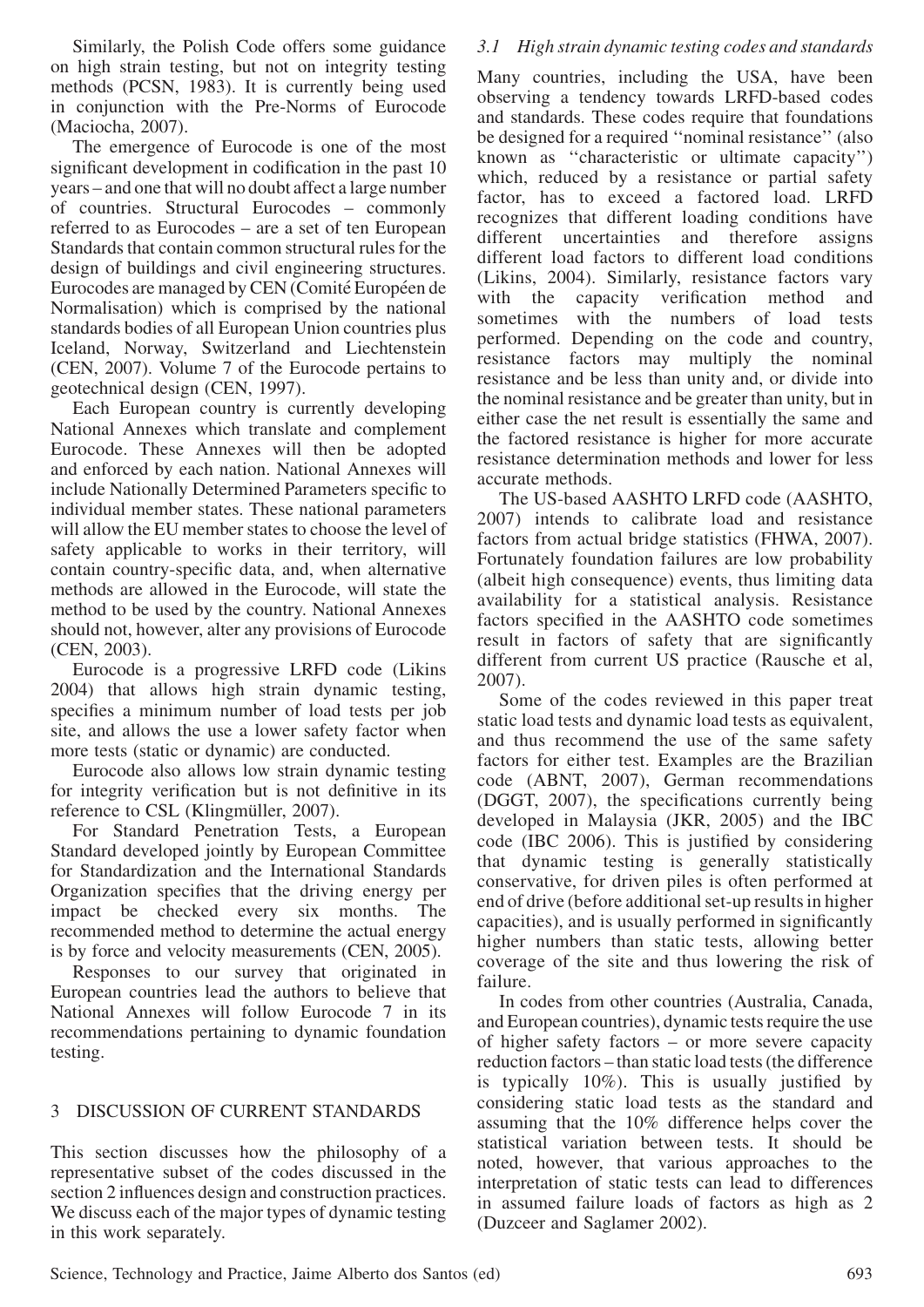Similarly, the Polish Code offers some guidance on high strain testing, but not on integrity testing methods (PCSN, 1983). It is currently being used in conjunction with the Pre-Norms of Eurocode (Maciocha, 2007).

The emergence of Eurocode is one of the most significant development in codification in the past 10 years – and one that will no doubt affect a large number of countries. Structural Eurocodes – commonly referred to as Eurocodes – are a set of ten European Standards that contain common structural rules for the design of buildings and civil engineering structures. Eurocodes are managed by CEN (Comité Européen de Normalisation) which is comprised by the national standards bodies of all European Union countries plus Iceland, Norway, Switzerland and Liechtenstein (CEN, 2007). Volume 7 of the Eurocode pertains to geotechnical design (CEN, 1997).

Each European country is currently developing National Annexes which translate and complement Eurocode. These Annexes will then be adopted and enforced by each nation. National Annexes will include Nationally Determined Parameters specific to individual member states. These national parameters will allow the EU member states to choose the level of safety applicable to works in their territory, will contain country-specific data, and, when alternative methods are allowed in the Eurocode, will state the method to be used by the country. National Annexes should not, however, alter any provisions of Eurocode (CEN, 2003).

Eurocode is a progressive LRFD code (Likins 2004) that allows high strain dynamic testing, specifies a minimum number of load tests per job site, and allows the use a lower safety factor when more tests (static or dynamic) are conducted.

Eurocode also allows low strain dynamic testing for integrity verification but is not definitive in its reference to CSL (Klingmüller, 2007).

For Standard Penetration Tests, a European Standard developed jointly by European Committee for Standardization and the International Standards Organization specifies that the driving energy per impact be checked every six months. The recommended method to determine the actual energy is by force and velocity measurements (CEN, 2005).

Responses to our survey that originated in European countries lead the authors to believe that National Annexes will follow Eurocode 7 in its recommendations pertaining to dynamic foundation testing.

# 3 DISCUSSION OF CURRENT STANDARDS

This section discusses how the philosophy of a representative subset of the codes discussed in the section 2 influences design and construction practices. We discuss each of the major types of dynamic testing in this work separately.

# 3.1 High strain dynamic testing codes and standards

Many countries, including the USA, have been observing a tendency towards LRFD-based codes and standards. These codes require that foundations be designed for a required ''nominal resistance'' (also known as ''characteristic or ultimate capacity'') which, reduced by a resistance or partial safety factor, has to exceed a factored load. LRFD recognizes that different loading conditions have different uncertainties and therefore assigns different load factors to different load conditions (Likins, 2004). Similarly, resistance factors vary with the capacity verification method and sometimes with the numbers of load tests performed. Depending on the code and country, resistance factors may multiply the nominal resistance and be less than unity and, or divide into the nominal resistance and be greater than unity, but in either case the net result is essentially the same and the factored resistance is higher for more accurate resistance determination methods and lower for less accurate methods.

The US-based AASHTO LRFD code (AASHTO, 2007) intends to calibrate load and resistance factors from actual bridge statistics (FHWA, 2007). Fortunately foundation failures are low probability (albeit high consequence) events, thus limiting data availability for a statistical analysis. Resistance factors specified in the AASHTO code sometimes result in factors of safety that are significantly different from current US practice (Rausche et al, 2007).

Some of the codes reviewed in this paper treat static load tests and dynamic load tests as equivalent, and thus recommend the use of the same safety factors for either test. Examples are the Brazilian code (ABNT, 2007), German recommendations (DGGT, 2007), the specifications currently being developed in Malaysia (JKR, 2005) and the IBC code (IBC 2006). This is justified by considering that dynamic testing is generally statistically conservative, for driven piles is often performed at end of drive (before additional set-up results in higher capacities), and is usually performed in significantly higher numbers than static tests, allowing better coverage of the site and thus lowering the risk of failure.

In codes from other countries (Australia, Canada, and European countries), dynamic tests require the use of higher safety factors – or more severe capacity reduction factors – than static load tests (the difference is typically 10%). This is usually justified by considering static load tests as the standard and assuming that the 10% difference helps cover the statistical variation between tests. It should be noted, however, that various approaches to the interpretation of static tests can lead to differences in assumed failure loads of factors as high as 2 (Duzceer and Saglamer 2002).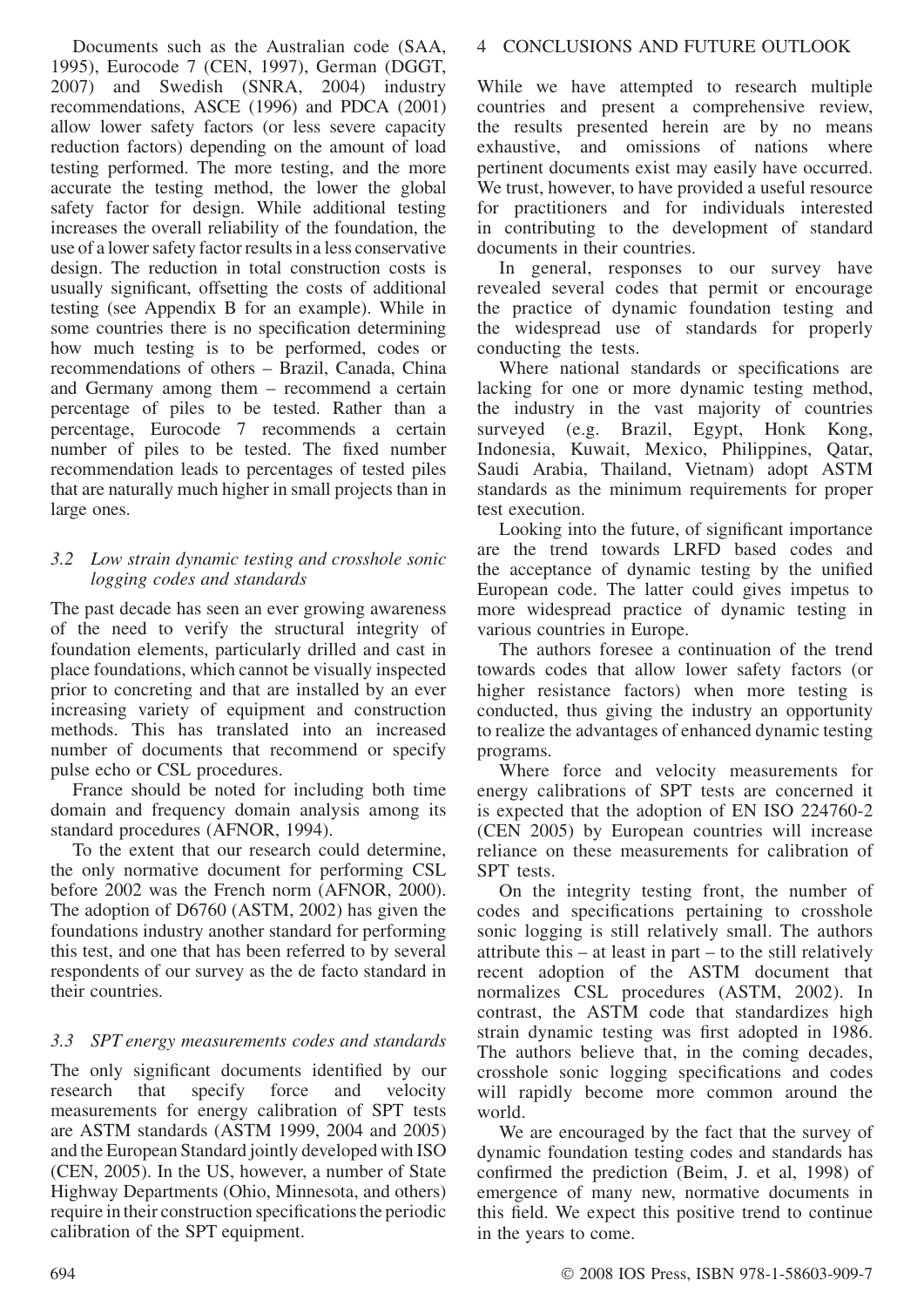Documents such as the Australian code (SAA, 1995), Eurocode 7 (CEN, 1997), German (DGGT, 2007) and Swedish (SNRA, 2004) industry recommendations, ASCE (1996) and PDCA (2001) allow lower safety factors (or less severe capacity reduction factors) depending on the amount of load testing performed. The more testing, and the more accurate the testing method, the lower the global safety factor for design. While additional testing increases the overall reliability of the foundation, the use of a lower safety factor results in a less conservative design. The reduction in total construction costs is usually significant, offsetting the costs of additional testing (see Appendix B for an example). While in some countries there is no specification determining how much testing is to be performed, codes or recommendations of others – Brazil, Canada, China and Germany among them – recommend a certain percentage of piles to be tested. Rather than a percentage, Eurocode 7 recommends a certain number of piles to be tested. The fixed number recommendation leads to percentages of tested piles that are naturally much higher in small projects than in large ones.

### 3.2 Low strain dynamic testing and crosshole sonic logging codes and standards

The past decade has seen an ever growing awareness of the need to verify the structural integrity of foundation elements, particularly drilled and cast in place foundations, which cannot be visually inspected prior to concreting and that are installed by an ever increasing variety of equipment and construction methods. This has translated into an increased number of documents that recommend or specify pulse echo or CSL procedures.

France should be noted for including both time domain and frequency domain analysis among its standard procedures (AFNOR, 1994).

To the extent that our research could determine, the only normative document for performing CSL before 2002 was the French norm (AFNOR, 2000). The adoption of D6760 (ASTM, 2002) has given the foundations industry another standard for performing this test, and one that has been referred to by several respondents of our survey as the de facto standard in their countries.

# 3.3 SPT energy measurements codes and standards

The only significant documents identified by our research that specify force and velocity measurements for energy calibration of SPT tests are ASTM standards (ASTM 1999, 2004 and 2005) and the European Standard jointly developed with ISO (CEN, 2005). In the US, however, a number of State Highway Departments (Ohio, Minnesota, and others) require in their construction specifications the periodic calibration of the SPT equipment.

# 4 CONCLUSIONS AND FUTURE OUTLOOK

While we have attempted to research multiple countries and present a comprehensive review, the results presented herein are by no means exhaustive, and omissions of nations where pertinent documents exist may easily have occurred. We trust, however, to have provided a useful resource for practitioners and for individuals interested in contributing to the development of standard documents in their countries.

In general, responses to our survey have revealed several codes that permit or encourage the practice of dynamic foundation testing and the widespread use of standards for properly conducting the tests.

Where national standards or specifications are lacking for one or more dynamic testing method, the industry in the vast majority of countries surveyed (e.g. Brazil, Egypt, Honk Kong, Indonesia, Kuwait, Mexico, Philippines, Qatar, Saudi Arabia, Thailand, Vietnam) adopt ASTM standards as the minimum requirements for proper test execution.

Looking into the future, of significant importance are the trend towards LRFD based codes and the acceptance of dynamic testing by the unified European code. The latter could gives impetus to more widespread practice of dynamic testing in various countries in Europe.

The authors foresee a continuation of the trend towards codes that allow lower safety factors (or higher resistance factors) when more testing is conducted, thus giving the industry an opportunity to realize the advantages of enhanced dynamic testing programs.

Where force and velocity measurements for energy calibrations of SPT tests are concerned it is expected that the adoption of EN ISO 224760-2 (CEN 2005) by European countries will increase reliance on these measurements for calibration of SPT tests.

On the integrity testing front, the number of codes and specifications pertaining to crosshole sonic logging is still relatively small. The authors attribute this – at least in part – to the still relatively recent adoption of the ASTM document that normalizes CSL procedures (ASTM, 2002). In contrast, the ASTM code that standardizes high strain dynamic testing was first adopted in 1986. The authors believe that, in the coming decades, crosshole sonic logging specifications and codes will rapidly become more common around the world.

We are encouraged by the fact that the survey of dynamic foundation testing codes and standards has confirmed the prediction (Beim, J. et al, 1998) of emergence of many new, normative documents in this field. We expect this positive trend to continue in the years to come.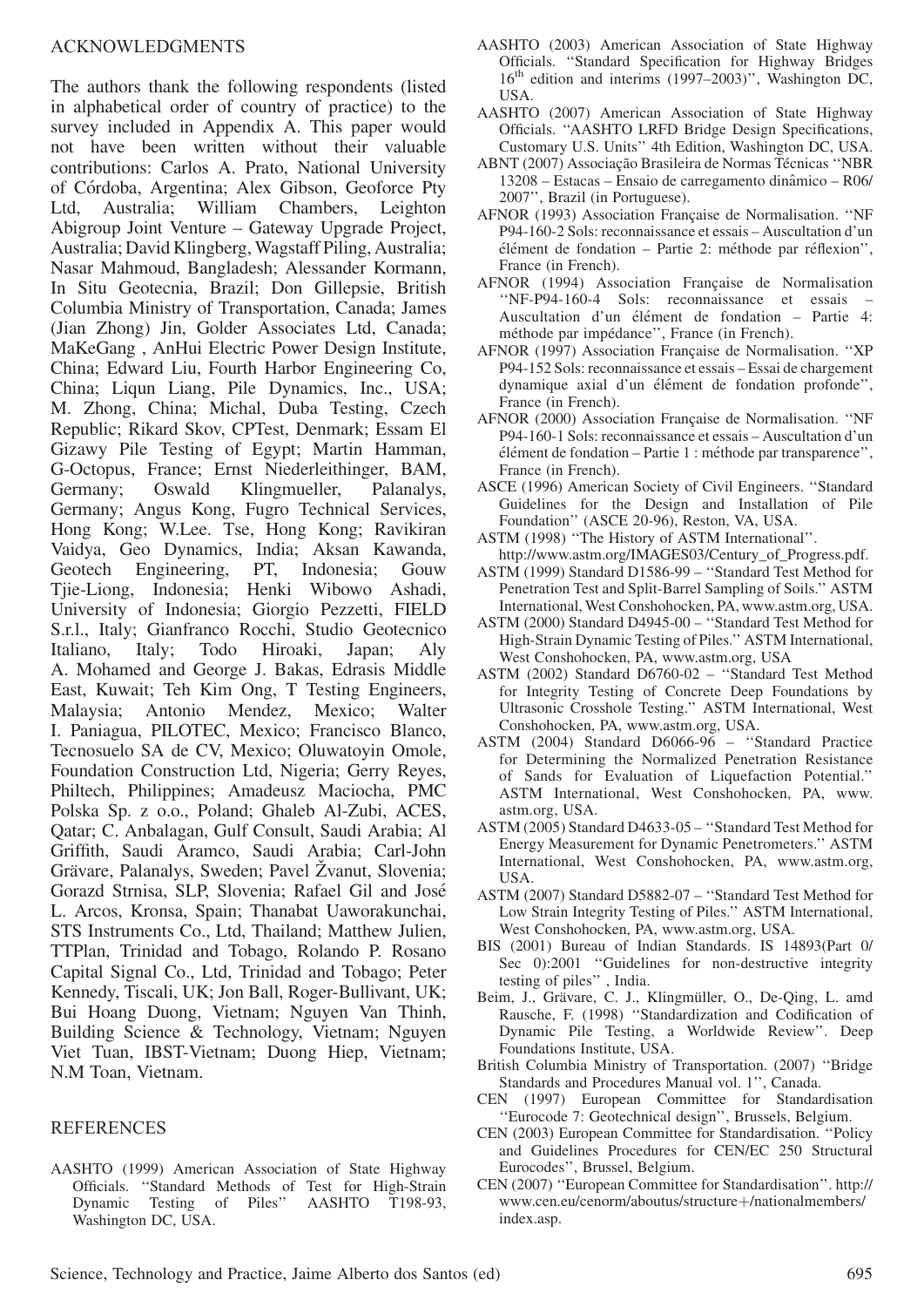The authors thank the following respondents (listed in alphabetical order of country of practice) to the survey included in Appendix A. This paper would not have been written without their valuable contributions: Carlos A. Prato, National University of Córdoba, Argentina; Alex Gibson, Geoforce Pty Ltd, Australia; William Chambers, Leighton Abigroup Joint Venture – Gateway Upgrade Project, Australia; David Klingberg,Wagstaff Piling, Australia; Nasar Mahmoud, Bangladesh; Alessander Kormann, In Situ Geotecnia, Brazil; Don Gillepsie, British Columbia Ministry of Transportation, Canada; James (Jian Zhong) Jin, Golder Associates Ltd, Canada; MaKeGang , AnHui Electric Power Design Institute, China; Edward Liu, Fourth Harbor Engineering Co, China; Liqun Liang, Pile Dynamics, Inc., USA; M. Zhong, China; Michal, Duba Testing, Czech Republic; Rikard Skov, CPTest, Denmark; Essam El Gizawy Pile Testing of Egypt; Martin Hamman, G-Octopus, France; Ernst Niederleithinger, BAM, Germany; Oswald Klingmueller, Palanalys, Germany; Angus Kong, Fugro Technical Services, Hong Kong; W.Lee. Tse, Hong Kong; Ravikiran Vaidya, Geo Dynamics, India; Aksan Kawanda, Geotech Engineering, PT, Indonesia; Gouw Tjie-Liong, Indonesia; Henki Wibowo Ashadi, University of Indonesia; Giorgio Pezzetti, FIELD S.r.l., Italy; Gianfranco Rocchi, Studio Geotecnico Italiano, Italy; Todo Hiroaki, Japan; Aly A. Mohamed and George J. Bakas, Edrasis Middle East, Kuwait; Teh Kim Ong, T Testing Engineers, Malaysia; Antonio Mendez, Mexico; Walter I. Paniagua, PILOTEC, Mexico; Francisco Blanco, Tecnosuelo SA de CV, Mexico; Oluwatoyin Omole, Foundation Construction Ltd, Nigeria; Gerry Reyes, Philtech, Philippines; Amadeusz Maciocha, PMC Polska Sp. z o.o., Poland; Ghaleb Al-Zubi, ACES, Qatar; C. Anbalagan, Gulf Consult, Saudi Arabia; Al Griffith, Saudi Aramco, Saudi Arabia; Carl-John Grävare, Palanalys, Sweden; Pavel Žvanut, Slovenia; Gorazd Strnisa, SLP, Slovenia; Rafael Gil and Jose´ L. Arcos, Kronsa, Spain; Thanabat Uaworakunchai, STS Instruments Co., Ltd, Thailand; Matthew Julien, TTPlan, Trinidad and Tobago, Rolando P. Rosano Capital Signal Co., Ltd, Trinidad and Tobago; Peter Kennedy, Tiscali, UK; Jon Ball, Roger-Bullivant, UK; Bui Hoang Duong, Vietnam; Nguyen Van Thinh, Building Science & Technology, Vietnam; Nguyen Viet Tuan, IBST-Vietnam; Duong Hiep, Vietnam; N.M Toan, Vietnam.

#### REFERENCES

AASHTO (1999) American Association of State Highway Officials. ''Standard Methods of Test for High-Strain Dynamic Testing of Piles'' AASHTO T198-93, Washington DC, USA.

- AASHTO (2003) American Association of State Highway Officials. ''Standard Specification for Highway Bridges 16<sup>th</sup> edition and interims (1997–2003)", Washington DC, USA.
- AASHTO (2007) American Association of State Highway Officials. ''AASHTO LRFD Bridge Design Specifications, Customary U.S. Units'' 4th Edition, Washington DC, USA.
- ABNT (2007) Associação Brasileira de Normas Técnicas "NBR 13208 – Estacas – Ensaio de carregamento dinaˆmico – R06/ 2007'', Brazil (in Portuguese).
- AFNOR (1993) Association Française de Normalisation. "NF P94-160-2 Sols: reconnaissance et essais – Auscultation d'un élément de fondation – Partie 2: méthode par réflexion'', France (in French).
- AFNOR (1994) Association Francaise de Normalisation ''NF-P94-160-4 Sols: reconnaissance et essais – Auscultation d'un élément de fondation – Partie 4: méthode par impédance", France (in French).
- AFNOR (1997) Association Française de Normalisation. "XP P94-152 Sols: reconnaissance et essais – Essai de chargement dynamique axial d'un élément de fondation profonde", France (in French).
- AFNOR (2000) Association Française de Normalisation. "NF P94-160-1 Sols: reconnaissance et essais – Auscultation d'un élément de fondation – Partie 1 : méthode par transparence'', France (in French).
- ASCE (1996) American Society of Civil Engineers. ''Standard Guidelines for the Design and Installation of Pile Foundation'' (ASCE 20-96), Reston, VA, USA.
- ASTM (1998) ''The History of ASTM International''. http://www.astm.org/IMAGES03/Century\_of\_Progress.pdf.
- ASTM (1999) Standard D1586-99 ''Standard Test Method for Penetration Test and Split-Barrel Sampling of Soils.'' ASTM International, West Conshohocken, PA, www.astm.org, USA.
- ASTM (2000) Standard D4945-00 ''Standard Test Method for High-Strain Dynamic Testing of Piles.'' ASTM International, West Conshohocken, PA, www.astm.org, USA
- ASTM (2002) Standard D6760-02 ''Standard Test Method for Integrity Testing of Concrete Deep Foundations by Ultrasonic Crosshole Testing.'' ASTM International, West Conshohocken, PA, www.astm.org, USA.
- ASTM (2004) Standard D6066-96 ''Standard Practice for Determining the Normalized Penetration Resistance of Sands for Evaluation of Liquefaction Potential.'' ASTM International, West Conshohocken, PA, www. astm.org, USA.
- ASTM (2005) Standard D4633-05 ''Standard Test Method for Energy Measurement for Dynamic Penetrometers.'' ASTM International, West Conshohocken, PA, www.astm.org, USA.
- ASTM (2007) Standard D5882-07 ''Standard Test Method for Low Strain Integrity Testing of Piles.'' ASTM International, West Conshohocken, PA, www.astm.org, USA.
- BIS (2001) Bureau of Indian Standards. IS 14893(Part 0/ Sec 0):2001 "Guidelines for non-destructive integrity testing of piles'' , India.
- Beim, J., Grävare, C. J., Klingmüller, O., De-Oing, L. amd Rausche, F. (1998) ''Standardization and Codification of Dynamic Pile Testing, a Worldwide Review''. Deep Foundations Institute, USA.
- British Columbia Ministry of Transportation. (2007) ''Bridge Standards and Procedures Manual vol. 1'', Canada.
- CEN (1997) European Committee for Standardisation ''Eurocode 7: Geotechnical design'', Brussels, Belgium.
- CEN (2003) European Committee for Standardisation. ''Policy and Guidelines Procedures for CEN/EC 250 Structural Eurocodes'', Brussel, Belgium.
- CEN (2007) ''European Committee for Standardisation''. http:// www.cen.eu/cenorm/aboutus/structure+/nationalmembers/ index.asp.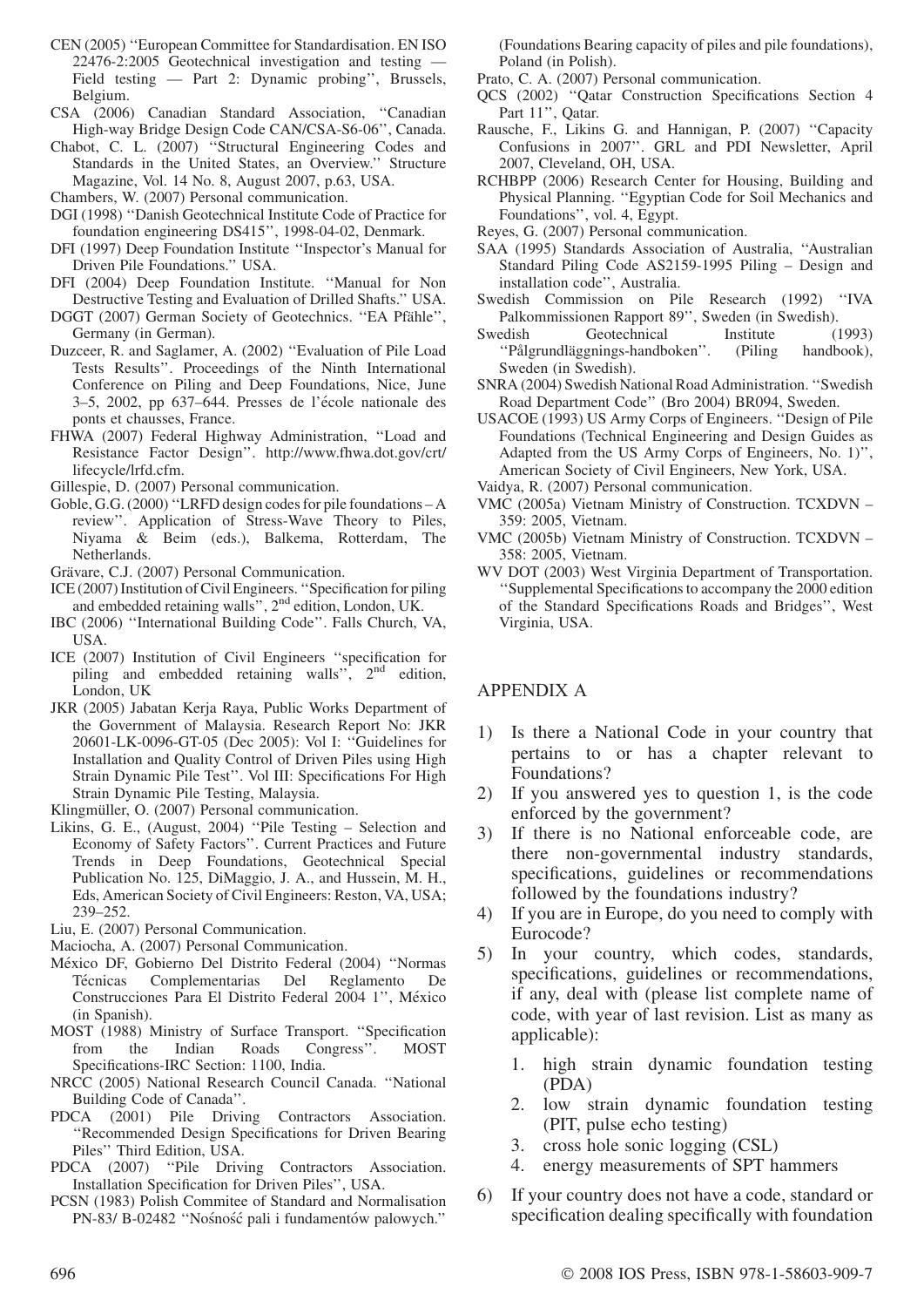- CEN (2005) ''European Committee for Standardisation. EN ISO 22476-2:2005 Geotechnical investigation and testing — Field testing — Part 2: Dynamic probing'', Brussels, Belgium.
- CSA (2006) Canadian Standard Association, ''Canadian High-way Bridge Design Code CAN/CSA-S6-06'', Canada.
- Chabot, C. L. (2007) ''Structural Engineering Codes and Standards in the United States, an Overview.'' Structure Magazine, Vol. 14 No. 8, August 2007, p.63, USA.
- Chambers, W. (2007) Personal communication.
- DGI (1998) ''Danish Geotechnical Institute Code of Practice for foundation engineering DS415'', 1998-04-02, Denmark.
- DFI (1997) Deep Foundation Institute ''Inspector's Manual for Driven Pile Foundations.'' USA.
- DFI (2004) Deep Foundation Institute. ''Manual for Non Destructive Testing and Evaluation of Drilled Shafts.'' USA.
- DGGT (2007) German Society of Geotechnics. "EA Pfähle", Germany (in German).
- Duzceer, R. and Saglamer, A. (2002) ''Evaluation of Pile Load Tests Results''. Proceedings of the Ninth International Conference on Piling and Deep Foundations, Nice, June 3–5, 2002, pp 637–644. Presses de l'école nationale des ponts et chausses, France.
- FHWA (2007) Federal Highway Administration, ''Load and Resistance Factor Design''. http://www.fhwa.dot.gov/crt/ lifecycle/lrfd.cfm.
- Gillespie, D. (2007) Personal communication.
- Goble, G.G. (2000) ''LRFD design codes for pile foundations A review''. Application of Stress-Wave Theory to Piles, Niyama & Beim (eds.), Balkema, Rotterdam, The Netherlands.
- Grävare, C.J. (2007) Personal Communication.
- ICE (2007) Institution of Civil Engineers. ''Specification for piling and embedded retaining walls'', 2nd edition, London, UK.
- IBC (2006) ''International Building Code''. Falls Church, VA, USA.
- ICE (2007) Institution of Civil Engineers ''specification for piling and embedded retaining walls",  $2<sup>nd</sup>$  edition, London, UK
- JKR (2005) Jabatan Kerja Raya, Public Works Department of the Government of Malaysia. Research Report No: JKR 20601-LK-0096-GT-05 (Dec 2005): Vol I: ''Guidelines for Installation and Quality Control of Driven Piles using High Strain Dynamic Pile Test''. Vol III: Specifications For High Strain Dynamic Pile Testing, Malaysia.

Klingmüller, O. (2007) Personal communication.

- Likins, G. E., (August, 2004) ''Pile Testing Selection and Economy of Safety Factors''. Current Practices and Future Trends in Deep Foundations, Geotechnical Special Publication No. 125, DiMaggio, J. A., and Hussein, M. H., Eds, American Society of Civil Engineers: Reston, VA, USA; 239–252.
- Liu, E. (2007) Personal Communication.
- Maciocha, A. (2007) Personal Communication.
- México DF, Gobierno Del Distrito Federal (2004) "Normas Técnicas Complementarias Del Reglamento De Construcciones Para El Distrito Federal 2004 1", México (in Spanish).
- MOST (1988) Ministry of Surface Transport. ''Specification from the Indian Roads Congress''. MOST Specifications-IRC Section: 1100, India.
- NRCC (2005) National Research Council Canada. ''National Building Code of Canada''.
- PDCA (2001) Pile Driving Contractors Association. ''Recommended Design Specifications for Driven Bearing Piles'' Third Edition, USA.
- PDCA (2007) ''Pile Driving Contractors Association. Installation Specification for Driven Piles'', USA.
- PCSN (1983) Polish Commitee of Standard and Normalisation PN-83/ B-02482 "Nośność pali i fundamentów palowych."

(Foundations Bearing capacity of piles and pile foundations), Poland (in Polish).

- Prato, C. A. (2007) Personal communication.
- QCS (2002) ''Qatar Construction Specifications Section 4 Part 11'', Qatar.
- Rausche, F., Likins G. and Hannigan, P. (2007) ''Capacity Confusions in 2007''. GRL and PDI Newsletter, April 2007, Cleveland, OH, USA.
- RCHBPP (2006) Research Center for Housing, Building and Physical Planning. ''Egyptian Code for Soil Mechanics and Foundations'', vol. 4, Egypt.

Reyes, G. (2007) Personal communication.

- SAA (1995) Standards Association of Australia, ''Australian Standard Piling Code AS2159-1995 Piling – Design and installation code'', Australia.
- Swedish Commission on Pile Research (1992) ''IVA Palkommissionen Rapport 89'', Sweden (in Swedish).
- Swedish Geotechnical Institute (1993) "Pålgrundläggnings-handboken". (Piling handbook), Sweden (in Swedish).
- SNRA (2004) Swedish National Road Administration. ''Swedish Road Department Code'' (Bro 2004) BR094, Sweden.
- USACOE (1993) US Army Corps of Engineers. ''Design of Pile Foundations (Technical Engineering and Design Guides as Adapted from the US Army Corps of Engineers, No. 1)'', American Society of Civil Engineers, New York, USA.
- Vaidya, R. (2007) Personal communication.
- VMC (2005a) Vietnam Ministry of Construction. TCXDVN 359: 2005, Vietnam.
- VMC (2005b) Vietnam Ministry of Construction. TCXDVN 358: 2005, Vietnam.
- WV DOT (2003) West Virginia Department of Transportation. ''Supplemental Specifications to accompany the 2000 edition of the Standard Specifications Roads and Bridges'', West Virginia, USA.

### APPENDIX A

- 1) Is there a National Code in your country that pertains to or has a chapter relevant to Foundations?
- 2) If you answered yes to question 1, is the code enforced by the government?
- 3) If there is no National enforceable code, are there non-governmental industry standards, specifications, guidelines or recommendations followed by the foundations industry?
- 4) If you are in Europe, do you need to comply with Eurocode?
- 5) In your country, which codes, standards, specifications, guidelines or recommendations, if any, deal with (please list complete name of code, with year of last revision. List as many as applicable):
	- 1. high strain dynamic foundation testing (PDA)
	- 2. low strain dynamic foundation testing (PIT, pulse echo testing)
	- 3. cross hole sonic logging (CSL)
	- 4. energy measurements of SPT hammers
- 6) If your country does not have a code, standard or specification dealing specifically with foundation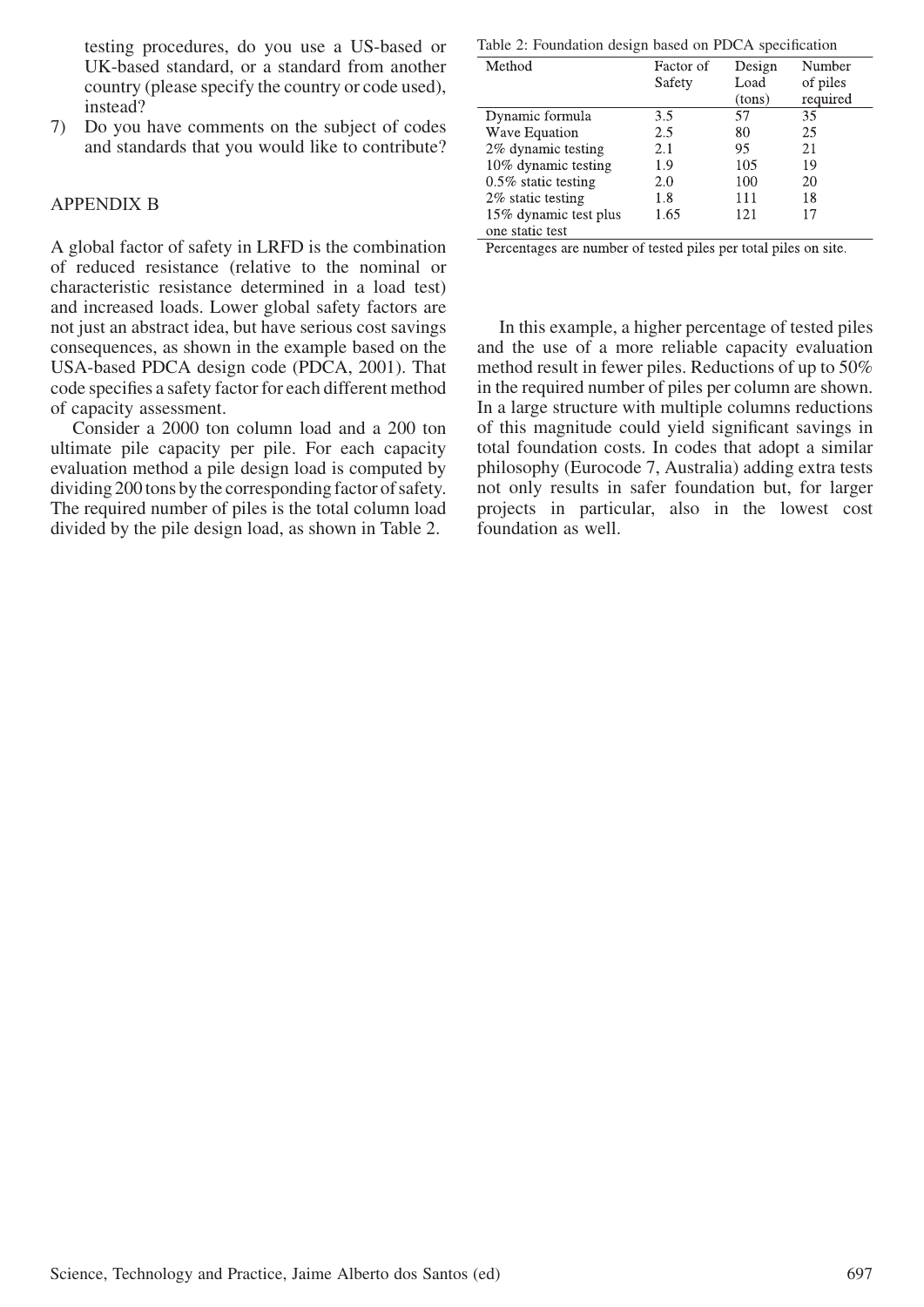testing procedures, do you use a US-based or UK-based standard, or a standard from another country (please specify the country or code used), instead?

7) Do you have comments on the subject of codes and standards that you would like to contribute?

#### APPENDIX B

A global factor of safety in LRFD is the combination of reduced resistance (relative to the nominal or characteristic resistance determined in a load test) and increased loads. Lower global safety factors are not just an abstract idea, but have serious cost savings consequences, as shown in the example based on the USA-based PDCA design code (PDCA, 2001). That code specifies a safety factor for each different method of capacity assessment.

Consider a 2000 ton column load and a 200 ton ultimate pile capacity per pile. For each capacity evaluation method a pile design load is computed by dividing 200 tons bythe corresponding factor of safety. The required number of piles is the total column load divided by the pile design load, as shown in Table 2.

Table 2: Foundation design based on PDCA specification

| Method                 | Factor of | Design | Number   |
|------------------------|-----------|--------|----------|
|                        | Safety    | Load   | of piles |
|                        |           | (tons) | required |
| Dynamic formula        | 3.5       | 57     | 35       |
| Wave Equation          | 2.5       | 80     | 25       |
| 2% dynamic testing     | 2.1       | 95     | 21       |
| 10% dynamic testing    | 1.9       | 105    | 19       |
| $0.5\%$ static testing | 2.0       | 100    | 20       |
| 2% static testing      | 1.8       | 111    | 18       |
| 15% dynamic test plus  | 1.65      | 121    | 17       |
| one static test        |           |        |          |

Percentages are number of tested piles per total piles on site.

In this example, a higher percentage of tested piles and the use of a more reliable capacity evaluation method result in fewer piles. Reductions of up to 50% in the required number of piles per column are shown. In a large structure with multiple columns reductions of this magnitude could yield significant savings in total foundation costs. In codes that adopt a similar philosophy (Eurocode 7, Australia) adding extra tests not only results in safer foundation but, for larger projects in particular, also in the lowest cost foundation as well.